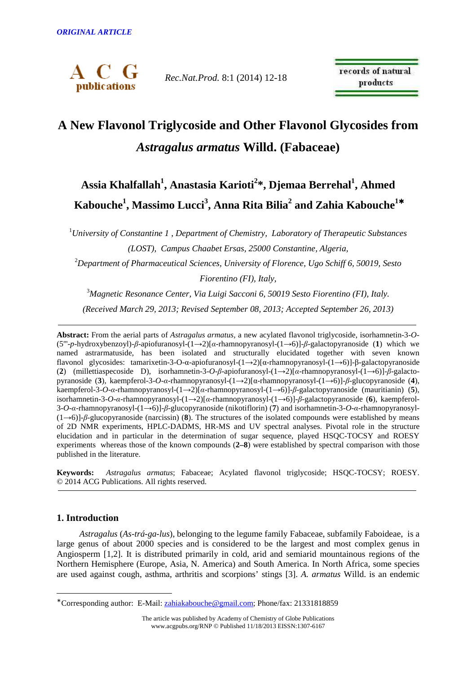

 *Rec.Nat.Prod.* 8:1 (2014) 12-18

records of natural products

# **A New Flavonol Triglycoside and Other Flavonol Glycosides from**  *Astragalus armatus* **Willd. (Fabaceae)**

# **Assia Khalfallah<sup>1</sup> , Anastasia Karioti<sup>2</sup> \*, Djemaa Berrehal<sup>1</sup> , Ahmed Kabouche<sup>1</sup> , Massimo Lucci<sup>3</sup> , Anna Rita Bilia<sup>2</sup> and Zahia Kabouche<sup>1</sup>**<sup>∗</sup>

<sup>1</sup>*University of Constantine 1 , Department of Chemistry, Laboratory of Therapeutic Substances (LOST), Campus Chaabet Ersas, 25000 Constantine, Algeria,* 

<sup>2</sup>*Department of Pharmaceutical Sciences, University of Florence, Ugo Schiff 6, 50019, Sesto Fiorentino (FI), Italy,* 

<sup>3</sup>*Magnetic Resonance Center, Via Luigi Sacconi 6, 50019 Sesto Fiorentino (FI), Italy. (Received March 29, 2013; Revised September 08, 2013; Accepted September 26, 2013)*

**Abstract:** From the aerial parts of *Astragalus armatus,* a new acylated flavonol triglycoside, isorhamnetin-3-*O*- (5'''-*p*-hydroxybenzoyl)-*β*-apiofuranosyl-(1→2)[*α*-rhamnopyranosyl-(1→6)]-*β*-galactopyranoside (**1**) which we named astrarmatuside, has been isolated and structurally elucidated together with seven known flavonol glycosides: tamarixetin-3-O-α-apiofuranosyl-(1→2)[α-rhamnopyranosyl-(1→6)]-β-galactopyranoside (**2**) (millettiaspecoside D), isorhamnetin-3-*O*-*β*-apiofuranosyl-(1→2)[*α*-rhamnopyranosyl-(1→6)]-*β*-galactopyranoside (**3**), kaempferol-3-*O*-*α*-rhamnopyranosyl-(1→2)[α-rhamnopyranosyl-(1→6)]-*β*-glucopyranoside (**4**), kaempferol-3-*O*-*α*-rhamnopyranosyl-(1→2)[*α*-rhamnopyranosyl-(1→6)]-*β*-galactopyranoside (mauritianin) (**5**), isorhamnetin-3-*O*-*α*-rhamnopyranosyl-(1→2)[*α*-rhamnopyranosyl-(1→6)]-*β*-galactopyranoside (**6**), kaempferol-3-*O*-*α*-rhamnopyranosyl-(1→6)]-*β*-glucopyranoside (nikotiflorin) (**7**) and isorhamnetin-3-*O*-*α*-rhamnopyranosyl- (1→6)]-*β*-glucopyranoside (narcissin) (**8**). The structures of the isolated compounds were established by means of 2D NMR experiments, HPLC-DADMS, HR-MS and UV spectral analyses. Pivotal role in the structure elucidation and in particular in the determination of sugar sequence, played HSQC-TOCSY and ROESY experiments whereas those of the known compounds (**2–8**) were established by spectral comparison with those published in the literature.

**Keywords:** *Astragalus armatus*; Fabaceae; Acylated flavonol triglycoside; HSQC-TOCSY; ROESY. © 2014 ACG Publications. All rights reserved.

## **1. Introduction**

 $\overline{a}$ 

*Astragalus* (*As-trá-ga-lus*), belonging to the legume family Fabaceae, subfamily Faboideae, is a large genus of about 2000 species and is considered to be the largest and most complex genus in Angiosperm [1,2]. It is distributed primarily in cold, arid and semiarid mountainous regions of the Northern Hemisphere (Europe, Asia, N. America) and South America. In North Africa, some species are used against cough, asthma, arthritis and scorpions' stings [3]. *A. armatus* Willd. is an endemic

<sup>\*</sup> Corresponding author: E-Mail: zahiakabouche@gmail.com; Phone/fax: 21331818859

The article was published by Academy of Chemistry of Globe Publications www.acgpubs.org/RNP © Published 11/18/2013 EISSN:1307-6167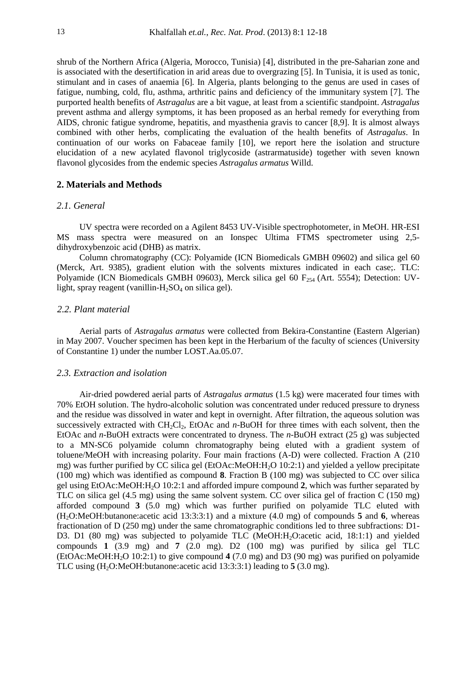shrub of the Northern Africa (Algeria, Morocco, Tunisia) [4], distributed in the pre-Saharian zone and is associated with the desertification in arid areas due to overgrazing [5]. In Tunisia, it is used as tonic, stimulant and in cases of anaemia [6]*.* In Algeria, plants belonging to the genus are used in cases of fatigue, numbing, cold, flu, asthma, arthritic pains and deficiency of the immunitary system [7]. The purported health benefits of *Astragalus* are a bit vague, at least from a scientific standpoint. *Astragalus* prevent asthma and allergy symptoms, it has been proposed as an herbal remedy for everything from AIDS, chronic fatigue syndrome, hepatitis, and myasthenia gravis to cancer [8,9]. It is almost always combined with other herbs, complicating the evaluation of the health benefits of *Astragalus*. In continuation of our works on Fabaceae family [10], we report here the isolation and structure elucidation of a new acylated flavonol triglycoside (astrarmatuside) together with seven known flavonol glycosides from the endemic species *Astragalus armatus* Willd.

## **2. Materials and Methods**

# *2.1. General*

UV spectra were recorded on a Agilent 8453 UV-Visible spectrophotometer, in MeOH. HR-ESI MS mass spectra were measured on an Ionspec Ultima FTMS spectrometer using 2,5 dihydroxybenzoic acid (DHB) as matrix.

 Column chromatography (CC): Polyamide (ICN Biomedicals GMBH 09602) and silica gel 60 (Merck, Art. 9385), gradient elution with the solvents mixtures indicated in each case;. TLC: Polyamide (ICN Biomedicals GMBH 09603), Merck silica gel 60  $F_{254}$  (Art. 5554); Detection: UVlight, spray reagent (vanillin- $H_2SO_4$  on silica gel).

#### *2.2. Plant material*

Aerial parts of *Astragalus armatus* were collected from Bekira-Constantine (Eastern Algerian) in May 2007. Voucher specimen has been kept in the Herbarium of the faculty of sciences (University of Constantine 1) under the number LOST.Aa.05.07.

#### *2.3. Extraction and isolation*

Air-dried powdered aerial parts of *Astragalus armatus* (1.5 kg) were macerated four times with 70% EtOH solution. The hydro-alcoholic solution was concentrated under reduced pressure to dryness and the residue was dissolved in water and kept in overnight. After filtration, the aqueous solution was successively extracted with  $CH_2Cl_2$ , EtOAc and *n*-BuOH for three times with each solvent, then the EtOAc and *n*-BuOH extracts were concentrated to dryness. The *n*-BuOH extract (25 g) was subjected to a MN-SC6 polyamide column chromatography being eluted with a gradient system of toluene/MeOH with increasing polarity. Four main fractions (A-D) were collected. Fraction A (210 mg) was further purified by CC silica gel (EtOAc:MeOH:H<sub>2</sub>O 10:2:1) and yielded a yellow precipitate (100 mg) which was identified as compound **8**. Fraction B (100 mg) was subjected to CC over silica gel using EtOAc:MeOH:H2O 10:2:1 and afforded impure compound **2**, which was further separated by TLC on silica gel (4.5 mg) using the same solvent system. CC over silica gel of fraction C (150 mg) afforded compound **3** (5.0 mg) which was further purified on polyamide TLC eluted with (H2O:MeOH:butanone:acetic acid 13:3:3:1) and a mixture (4.0 mg) of compounds **5** and **6**, whereas fractionation of D (250 mg) under the same chromatographic conditions led to three subfractions: D1- D3. D1 (80 mg) was subjected to polyamide TLC (MeOH:H<sub>2</sub>O:acetic acid, 18:1:1) and yielded compounds **1** (3.9 mg) and **7** (2.0 mg). D2 (100 mg) was purified by silica gel TLC (EtOAc:MeOH:H2O 10:2:1) to give compound **4** (7.0 mg) and D3 (90 mg) was purified on polyamide TLC using  $(H_2O:MeOH:butanone:acetic acid 13:3:3:1) leading to 5 (3.0 mg).$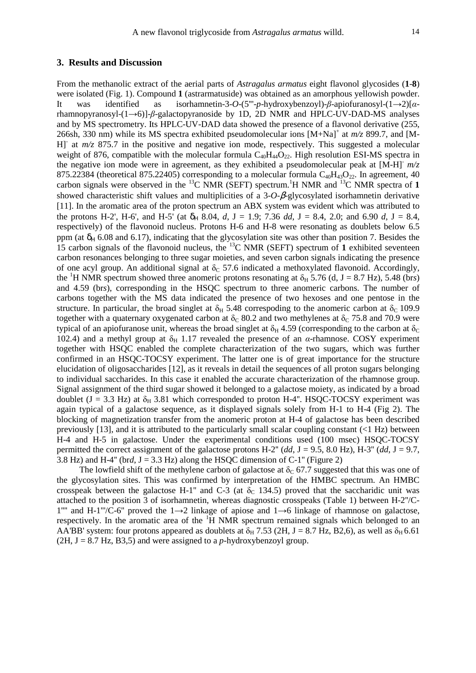#### **3. Results and Discussion**

From the methanolic extract of the aerial parts of *Astragalus armatus* eight flavonol glycosides (**1**-**8**) were isolated (Fig. 1). Compound **1** (astrarmatuside) was obtained as an amorphous yellowish powder. It was identified as isorhamnetin-3-*O*-(5'''-*p*-hydroxybenzoyl)-*β*-apiofuranosyl-(1→2)[*α*rhamnopyranosyl-(1→6)]-*β*-galactopyranoside by 1D, 2D NMR and HPLC-UV-DAD-MS analyses and by MS spectrometry. Its HPLC-UV-DAD data showed the presence of a flavonol derivative (255, 266sh, 330 nm) while its MS spectra exhibited pseudomolecular ions  $[M+Na]^+$  at  $m/z$  899.7, and [M-H] at  $m/z$  875.7 in the positive and negative ion mode, respectively. This suggested a molecular weight of 876, compatible with the molecular formula  $C_{40}H_{44}O_{22}$ . High resolution ESI-MS spectra in the negative ion mode were in agreement, as they exhibited a pseudomolecular peak at [M-H]- *m/z*  875.22384 (theoretical 875.22405) corresponding to a molecular formula  $C_{40}H_{43}O_{22}$ . In agreement, 40 carbon signals were observed in the <sup>13</sup>C NMR (SEFT) spectrum.<sup>1</sup>H NMR and <sup>13</sup>C NMR spectra of **1** showed characteristic shift values and multiplicities of a 3-*O*-β-glycosylated isorhamnetin derivative [11]. In the aromatic area of the proton spectrum an ABX system was evident which was attributed to the protons H-2', H-6', and H-5' (at  $\delta_H$  8.04, *d*, J = 1.9; 7.36 *dd*, J = 8.4, 2.0; and 6.90 *d*, J = 8.4, respectively) of the flavonoid nucleus. Protons H-6 and H-8 were resonating as doublets below 6.5 ppm (at  $\delta_H$  6.08 and 6.17), indicating that the glycosylation site was other than position 7. Besides the 15 carbon signals of the flavonoid nucleus, the <sup>13</sup>C NMR (SEFT) spectrum of **1** exhibited seventeen carbon resonances belonging to three sugar moieties, and seven carbon signals indicating the presence of one acyl group. An additional signal at  $\delta_c$  57.6 indicated a methoxylated flavonoid. Accordingly, the <sup>1</sup>H NMR spectrum showed three anomeric protons resonating at  $\delta_H$  5.76 (d, J = 8.7 Hz), 5.48 (br*s*) and 4.59 (br*s*), corresponding in the HSQC spectrum to three anomeric carbons. The number of carbons together with the MS data indicated the presence of two hexoses and one pentose in the structure. In particular, the broad singlet at  $\delta_H$  5.48 correspoding to the anomeric carbon at  $\delta_C$  109.9 together with a quaternary oxygenated carbon at  $\delta_c$  80.2 and two methylenes at  $\delta_c$  75.8 and 70.9 were typical of an apiofuranose unit, whereas the broad singlet at  $\delta_H$  4.59 (corresponding to the carbon at  $\delta_C$ 102.4) and a methyl group at  $\delta_H$  1.17 revealed the presence of an *α*-rhamnose. COSY experiment together with HSQC enabled the complete characterization of the two sugars, which was further confirmed in an HSQC-TOCSY experiment. The latter one is of great importance for the structure elucidation of oligosaccharides [12], as it reveals in detail the sequences of all proton sugars belonging to individual saccharides. In this case it enabled the accurate characterization of the rhamnose group. Signal assignment of the third sugar showed it belonged to a galactose moiety, as indicated by a broad doublet (J = 3.3 Hz) at  $\delta_H$  3.81 which corresponded to proton H-4". HSQC-TOCSY experiment was again typical of a galactose sequence, as it displayed signals solely from H-1 to H-4 (Fig 2). The blocking of magnetization transfer from the anomeric proton at H-4 of galactose has been described previously  $[13]$ , and it is attributed to the particularly small scalar coupling constant  $\langle 1 \rangle$  Hz) between H-4 and H-5 in galactose. Under the experimental conditions used (100 msec) HSQC-TOCSY permitted the correct assignment of the galactose protons H-2'' (*dd*, J = 9.5, 8.0 Hz), H-3'' (*dd*, J = 9.7, 3.8 Hz) and H-4" (brd,  $J = 3.3$  Hz) along the HSOC dimension of C-1" (Figure 2)

The lowfield shift of the methylene carbon of galactose at  $\delta_c$  67.7 suggested that this was one of the glycosylation sites. This was confirmed by interpretation of the HMBC spectrum. An HMBC crosspeak between the galactose H-1" and C-3 (at  $\delta_c$  134.5) proved that the saccharidic unit was attached to the position 3 of isorhamnetin, whereas diagnostic crosspeaks (Table 1) between H-2''/C-1'''' and H-1'''/C-6'' proved the 1→2 linkage of apiose and 1→6 linkage of rhamnose on galactose, respectively. In the aromatic area of the  $H$  NMR spectrum remained signals which belonged to an AA'BB' system: four protons appeared as doublets at  $\delta_H$  7.53 (2H, J = 8.7 Hz, B2,6), as well as  $\delta_H$  6.61  $(2H, J = 8.7 Hz, B3, 5)$  and were assigned to a *p*-hydroxybenzoyl group.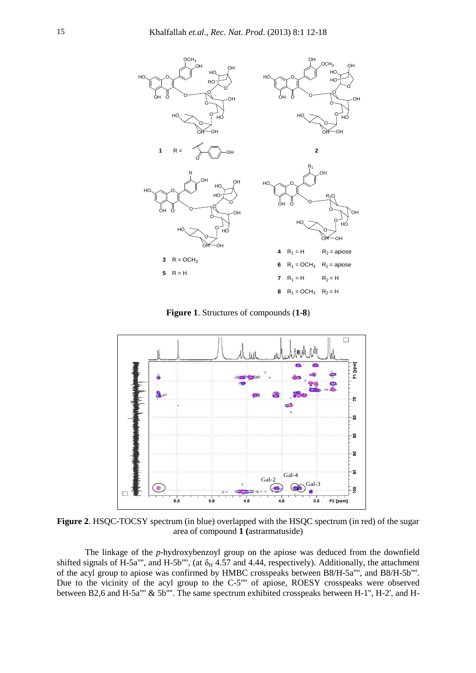

**Figure 1**. Structures of compounds (**1**-**8**)



**Figure 2**. HSQC-TOCSY spectrum (in blue) overlapped with the HSQC spectrum (in red) of the sugar area of compound **1 (**astrarmatuside)

The linkage of the *p*-hydroxybenzoyl group on the apiose was deduced from the downfield shifted signals of H-5a''', and H-5b'''', (at  $\delta_H$  4.57 and 4.44, respectively). Additionally, the attachment of the acyl group to apiose was confirmed by HMBC crosspeaks between B8/H-5a'''', and B8/H-5b''''. Due to the vicinity of the acyl group to the C-5"" of apiose, ROESY crosspeaks were observed between B2,6 and H-5a'''' & 5b''''. The same spectrum exhibited crosspeaks between H-1'', H-2', and H-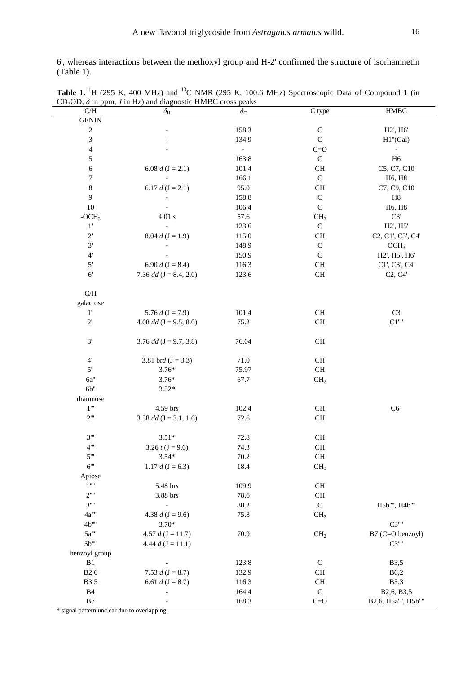6', whereas interactions between the methoxyl group and H-2' confirmed the structure of isorhamnetin (Table 1).

| C/H                      | $\omega$ , $\omega$ , $\theta$ in ppin, $\theta$ in Fig. and diagnosity finite vross<br>$\delta_{\rm H}$ | wano<br>$\delta_{\rm C}$ | $\overline{C}$ type | HMBC                                                                  |
|--------------------------|----------------------------------------------------------------------------------------------------------|--------------------------|---------------------|-----------------------------------------------------------------------|
| <b>GENIN</b>             |                                                                                                          |                          |                     |                                                                       |
|                          |                                                                                                          |                          |                     | H2', H6'                                                              |
| $\overline{\mathbf{c}}$  |                                                                                                          | 158.3                    | $\mathsf{C}$        |                                                                       |
| 3                        |                                                                                                          | 134.9                    | $\mathbf C$         | H1''(Gal)                                                             |
| $\overline{\mathcal{A}}$ |                                                                                                          | $\blacksquare$           | $C = O$             |                                                                       |
| 5                        |                                                                                                          | 163.8                    | ${\bf C}$           | H <sub>6</sub>                                                        |
| 6                        | 6.08 $d$ (J = 2.1)                                                                                       | 101.4                    | <b>CH</b>           | C5, C7, C10                                                           |
| 7                        |                                                                                                          | 166.1                    | $\mathbf C$         | H6, H8                                                                |
| 8                        | 6.17 $d$ (J = 2.1)                                                                                       | 95.0                     | <b>CH</b>           | C7, C9, C10                                                           |
| 9                        |                                                                                                          | 158.8                    | $\mathsf{C}$        | $_{\rm H8}$                                                           |
| $10\,$                   |                                                                                                          | 106.4                    | $\mathsf{C}$        | H6, H8                                                                |
| $-OCH3$                  | $4.01\ s$                                                                                                | 57.6                     | CH <sub>3</sub>     | C3'                                                                   |
| $1^{\prime}$             |                                                                                                          | 123.6                    | ${\bf C}$           | H2', H5'                                                              |
| $2^\circ$                | 8.04 $d$ (J = 1.9)                                                                                       | 115.0                    | <b>CH</b>           | C <sub>2</sub> , C <sub>1</sub> ', C <sub>3</sub> ', C <sub>4</sub> ' |
| $3'$                     |                                                                                                          | 148.9                    | $\mathbf C$         | OCH <sub>3</sub>                                                      |
| 4'                       |                                                                                                          | 150.9                    | $\mathsf C$         | H2', H5', H6'                                                         |
| $5'$                     | 6.90 $d$ (J = 8.4)                                                                                       | 116.3                    | $\operatorname{CH}$ | C1', C3', C4'                                                         |
| $6^{\prime}$             | 7.36 $dd$ (J = 8.4, 2.0)                                                                                 | 123.6                    | $\rm CH$            | C <sub>2</sub> , C <sub>4</sub>                                       |
|                          |                                                                                                          |                          |                     |                                                                       |
|                          |                                                                                                          |                          |                     |                                                                       |
| $\rm C/H$                |                                                                                                          |                          |                     |                                                                       |
| galactose                |                                                                                                          |                          |                     |                                                                       |
| 1"                       | 5.76 $d$ (J = 7.9)                                                                                       | 101.4                    | $\rm CH$            | C <sub>3</sub>                                                        |
| 2"                       | 4.08 $dd$ (J = 9.5, 8.0)                                                                                 | 75.2                     | $\rm CH$            | $C1$ ""                                                               |
|                          |                                                                                                          |                          |                     |                                                                       |
| 3"                       | 3.76 $dd$ (J = 9.7, 3.8)                                                                                 | 76.04                    | $\rm CH$            |                                                                       |
|                          |                                                                                                          |                          |                     |                                                                       |
| 4"                       | 3.81 brd $(J = 3.3)$                                                                                     | 71.0                     | CH                  |                                                                       |
| 5"                       | $3.76*$                                                                                                  | 75.97                    | CH                  |                                                                       |
| 6a"                      | $3.76*$                                                                                                  | 67.7                     | CH <sub>2</sub>     |                                                                       |
| $6b$ "                   | $3.52*$                                                                                                  |                          |                     |                                                                       |
| rhamnose                 |                                                                                                          |                          |                     |                                                                       |
| $1^{\mathrm{m}}$         | 4.59 brs                                                                                                 | 102.4                    | $\operatorname{CH}$ | C6"                                                                   |
| $2^{\prime\prime\prime}$ | 3.58 $dd$ (J = 3.1, 1.6)                                                                                 | 72.6                     | $\rm CH$            |                                                                       |
|                          |                                                                                                          |                          |                     |                                                                       |
|                          |                                                                                                          |                          |                     |                                                                       |
| $3^{\prime\prime\prime}$ | $3.51*$                                                                                                  | 72.8                     | $\operatorname{CH}$ |                                                                       |
| 4"                       | 3.26 $t (J = 9.6)$                                                                                       | 74.3                     | $\operatorname{CH}$ |                                                                       |
| 5"                       | $3.54*$                                                                                                  | 70.2                     | $\operatorname{CH}$ |                                                                       |
| 6"                       | 1.17 $d$ (J = 6.3)                                                                                       | 18.4                     | CH <sub>3</sub>     |                                                                       |
| Apiose                   |                                                                                                          |                          |                     |                                                                       |
| $1^{\mathrm{m}}$         | 5.48 brs                                                                                                 | 109.9                    | $\operatorname{CH}$ |                                                                       |
| $2^{\cdots}$             | 3.88 brs                                                                                                 | 78.6                     | $\rm CH$            |                                                                       |
| $3^{\cdots}$             | $\qquad \qquad -$                                                                                        | $80.2\,$                 | $\mathsf C$         | H5b"", H4b""                                                          |
| 4a""                     | 4.38 $d$ (J = 9.6)                                                                                       | 75.8                     | CH <sub>2</sub>     |                                                                       |
| 4b""                     | $3.70*$                                                                                                  |                          |                     | $C3$ ""                                                               |
| 5a""                     | 4.57 $d$ (J = 11.7)                                                                                      | 70.9                     | CH <sub>2</sub>     | B7 (C=O benzoyl)                                                      |
| 5b""                     | 4.44 $d$ (J = 11.1)                                                                                      |                          |                     | $C3$ ""                                                               |
| benzoyl group            |                                                                                                          |                          |                     |                                                                       |
| B1                       |                                                                                                          | 123.8                    | $\mathbf C$         | B3,5                                                                  |
|                          |                                                                                                          |                          |                     |                                                                       |
| B2,6                     | 7.53 $d$ (J = 8.7)                                                                                       | 132.9                    | $\operatorname{CH}$ | B6,2                                                                  |
| <b>B</b> 3,5             | 6.61 $d$ (J = 8.7)                                                                                       | 116.3                    | $\operatorname{CH}$ | <b>B5,3</b>                                                           |
| B4                       |                                                                                                          | 164.4                    | ${\bf C}$           | B2,6, B3,5                                                            |
| $\mathbf{B}7$            |                                                                                                          | 168.3                    | $C = O$             | B2,6, H5a"", H5b""                                                    |

**Table 1.** <sup>1</sup>H (295 K, 400 MHz) and <sup>13</sup>C NMR (295 K, 100.6 MHz) Spectroscopic Data of Compound 1 (in  $CD_3OD$ ;  $\delta$  in ppm,  $J$  in Hz) and diagnostic HMBC cross peaks

\* signal pattern unclear due to overlapping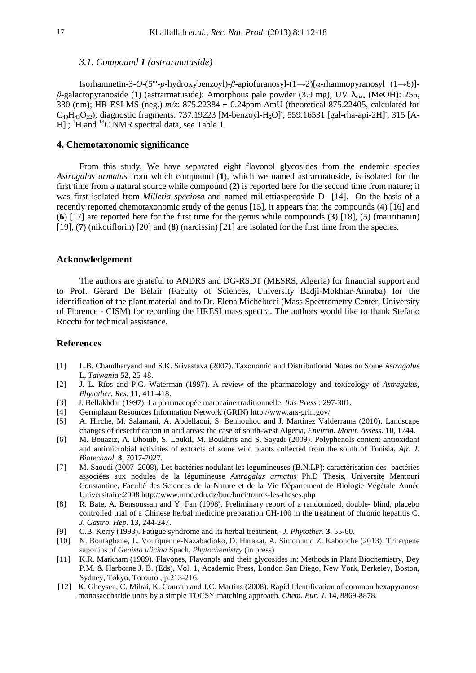#### *3.1. Compound 1 (astrarmatuside)*

Isorhamnetin-3-*O*-(5'''-*p*-hydroxybenzoyl)-*β*-apiofuranosyl-(1→2)[*α*-rhamnopyranosyl (1→6)] *β*-galactopyranoside (1) (astrarmatuside): Amorphous pale powder (3.9 mg); UV  $\lambda_{\text{max}}$  (MeOH): 255, 330 (nm); HR-ESI-MS (neg.) *m/z*: 875.22384 ± 0.24ppm ∆mU (theoretical 875.22405, calculated for  $C_{40}H_{43}O_{22}$ ); diagnostic fragments: 737.19223 [M-benzoyl-H<sub>2</sub>O], 559.16531 [gal-rha-api-2H], 315 [A-H];  $\mathrm{^{1}H}$  and  $\mathrm{^{13}C}$  NMR spectral data, see Table 1.

# **4. Chemotaxonomic significance**

From this study, We have separated eight flavonol glycosides from the endemic species *Astragalus armatus* from which compound (**1**), which we named astrarmatuside, is isolated for the first time from a natural source while compound (**2**) is reported here for the second time from nature; it was first isolated from *Milletia speciosa* and named millettiaspecoside D [14]. On the basis of a recently reported chemotaxonomic study of the genus [15], it appears that the compounds (**4**) [16] and (**6**) [17] are reported here for the first time for the genus while compounds (**3**) [18], (**5**) (mauritianin) [19], (**7**) (nikotiflorin) [20] and (**8**) (narcissin) [21] are isolated for the first time from the species.

#### **Acknowledgement**

The authors are grateful to ANDRS and DG-RSDT (MESRS, Algeria) for financial support and to Prof. Gérard De Bélair (Faculty of Sciences, University Badji-Mokhtar-Annaba) for the identification of the plant material and to Dr. Elena Michelucci (Mass Spectrometry Center, University of Florence - CISM) for recording the HRESI mass spectra. The authors would like to thank Stefano Rocchi for technical assistance.

#### **References**

- [1] L.B. Chaudharyand and S.K. Srivastava (2007). Taxonomic and Distributional Notes on Some *Astragalus*  L, *Taiwania* **52**, 25-48.
- [2] J. L. Ríos and P.G. Waterman (1997). A review of the pharmacology and toxicology of *Astragalus*, *Phytother. Res.* **11**, 411-418.
- [3] J. Bellakhdar (1997). La pharmacopée marocaine traditionnelle, *Ibis Press* : 297-301.
- [4] Germplasm Resources Information Network (GRIN) http://www.ars-grin.gov/
- [5] A. Hirche, M. Salamani, A. Abdellaoui, S. Benhouhou and J. Martínez Valderrama (2010). Landscape changes of desertification in arid areas: the case of south-west Algeria, *Environ. Monit. Assess*. **10**, 1744.
- [6] M. Bouaziz, A. Dhouib, S. Loukil, M. Boukhris and S. Sayadi (2009). Polyphenols content antioxidant and antimicrobial activities of extracts of some wild plants collected from the south of Tunisia, *Afr. J. Biotechnol*. **8**, 7017-7027.
- [7] M. Saoudi (2007–2008). Les bactéries nodulant les legumineuses (B.N.LP): caractérisation des bactéries associées aux nodules de la légumineuse *Astragalus armatus* Ph.D Thesis, Universite Mentouri Constantine, Faculté des Sciences de la Nature et de la Vie Département de Biologie Végétale Année Universitaire:2008 http://www.umc.edu.dz/buc/buci/toutes-les-theses.php
- [8] R. Bate, A. Bensoussan and Y. Fan (1998). Preliminary report of a randomized, double- blind, placebo controlled trial of a Chinese herbal medicine preparation CH-100 in the treatment of chronic hepatitis C, *J. Gastro. Hep.* **13**, 244-247.
- [9] C.B. Kerry (1993). Fatigue syndrome and its herbal treatment, *J. Phytother*. **3**, 55-60.
- [10] N. Boutaghane, L. Voutquenne-Nazabadioko, D. Harakat, A. Simon and Z. Kabouche (2013). Triterpene saponins of *Genista ulicina* Spach, *Phytochemistry* (in press)
- [11] K.R. Markham (1989). Flavones, Flavonols and their glycosides in: Methods in Plant Biochemistry, Dey P.M. & Harborne J. B. (Eds), Vol. 1, Academic Press, London San Diego, New York, Berkeley, Boston, Sydney, Tokyo, Toronto., p.213-216.
- [12] K. Gheysen, C. Mihai, K. Conrath and J.C. Martins (2008). Rapid Identification of common hexapyranose monosaccharide units by a simple TOCSY matching approach, *Chem. Eur. J.* **14**, 8869-8878.